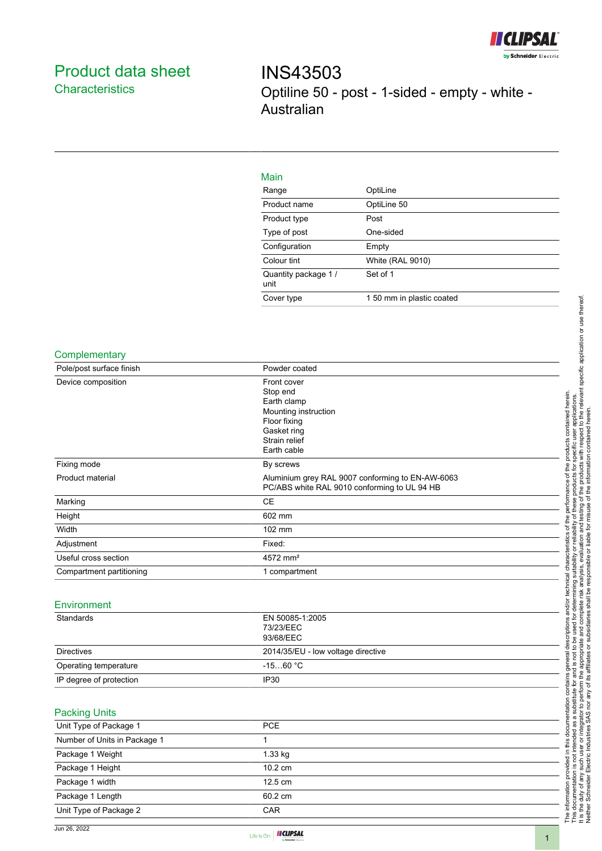

# Product data sheet **Characteristics**

INS43503 Optiline 50 - post - 1-sided - empty - white - Australian

| OptiLine                  |
|---------------------------|
| OptiLine 50               |
| Post                      |
| One-sided                 |
| Empty                     |
| <b>White (RAL 9010)</b>   |
| Set of 1                  |
| 1 50 mm in plastic coated |
|                           |

## **Complementary**

| Pole/post surface finish | Powder coated                                    |
|--------------------------|--------------------------------------------------|
| Device composition       | Front cover                                      |
|                          | Stop end                                         |
|                          | Earth clamp                                      |
|                          | Mounting instruction                             |
|                          | Floor fixing                                     |
|                          | Gasket ring                                      |
|                          | Strain relief                                    |
|                          | Earth cable                                      |
| Fixing mode              | By screws                                        |
| Product material         | Aluminium grey RAL 9007 conforming to EN-AW-6063 |
|                          | PC/ABS white RAL 9010 conforming to UL 94 HB     |
| Marking                  | <b>CE</b>                                        |
| Height                   | 602 mm                                           |
| Width                    | $102 \text{ mm}$                                 |
| Adjustment               | Fixed:                                           |
| Useful cross section     | $4572$ mm <sup>2</sup>                           |
| Compartment partitioning | 1 compartment                                    |

#### Environment

| Standards               | EN 50085-1:2005                    |
|-------------------------|------------------------------------|
|                         | 73/23/EEC                          |
|                         | 93/68/EEC                          |
| <b>Directives</b>       | 2014/35/EU - low voltage directive |
| Operating temperature   | $-1560\,\mathrm{^\circ C}$         |
| IP degree of protection | IP <sub>30</sub>                   |

## Packing Units

| Unit Type of Package 1       | <b>PCE</b>        |  |
|------------------------------|-------------------|--|
| Number of Units in Package 1 |                   |  |
| Package 1 Weight             | 1.33 kg           |  |
| Package 1 Height             | $10.2 \text{ cm}$ |  |
| Package 1 width              | $12.5 \text{ cm}$ |  |
| Package 1 Length             | 60.2 cm           |  |
| Unit Type of Package 2       | <b>CAR</b>        |  |
|                              |                   |  |



The information provided in this documentation contains general descriptions and/or technical characteristics of the performance of the products contained herein. This documentation is not intended as a substitute for and is not to be used for determining suitability or reliability of these products for specific user applications.

The information provided in this documentation contains general descriptions and/or technical characteristics of th<br>This documentation is not intended as a substitute for and is not to be used for determining suitability o

of the p

It is the duty of any such user or integrator to perform the appropriate and complete risk analysis, evaluation and testing of the products with respect to the relevant specific application or use thereof.

the performance of the products contained herein.<br>Y of these products for specific user applications.<br>In the products for specific user applications.<br>misuse of the information contained herein.

Neither Schneider Electric Industries SAS nor any of its affiliates or subsidiaries shall be responsible or liable for misuse of the information contained herein.